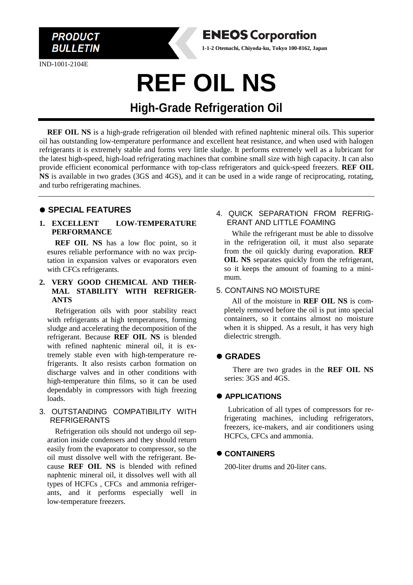

IND-1001-2104E



# **REF OIL NS High-Grade Refrigeration Oil**

**REF OIL NS** is a high-grade refrigeration oil blended with refined naphtenic mineral oils. This superior oil has outstanding low-temperature performance and excellent heat resistance, and when used with halogen refrigerants it is extremely stable and forms very little sludge. It performs extremely well as a lubricant for the latest high-speed, high-load refrigerating machines that combine small size with high capacity. It can also provide efficient economical performance with top-class refrigerators and quick-speed freezers. **REF OIL NS** is available in two grades (3GS and 4GS), and it can be used in a wide range of reciprocating, rotating, and turbo refrigerating machines.

# ⚫ **SPECIAL FEATURES**

#### **1. EXCELLENT LOW-TEMPERATURE PERFORMANCE**

**REF OIL NS** has a low floc point, so it esures reliable performance with no wax prciptation in expansion valves or evaporators even with CFCs refrigerants.

#### **2. VERY GOOD CHEMICAL AND THER-MAL STABILITY WITH REFRIGER-ANTS**

Refrigeration oils with poor stability react with refrigerants at high temperatures, forming sludge and accelerating the decomposition of the refrigerant. Because **REF OIL NS** is blended with refined naphtenic mineral oil, it is extremely stable even with high-temperature refrigerants. It also resists carbon formation on discharge valves and in other conditions with high-temperature thin films, so it can be used dependably in compressors with high freezing loads.

#### 3. OUTSTANDING COMPATIBILITY WITH REFRIGERANTS

Refrigeration oils should not undergo oil separation inside condensers and they should return easily from the evaporator to compressor, so the oil must dissolve well with the refrigerant. Because **REF OIL NS** is blended with refined naphtenic mineral oil, it dissolves well with all types of HCFCs , CFCs and ammonia refrigerants, and it performs especially well in low-temperature freezers.

## 4. QUICK SEPARATION FROM REFRIG-ERANT AND LITTLE FOAMING

While the refrigerant must be able to dissolve in the refrigeration oil, it must also separate from the oil quickly during evaporation. **REF OIL NS** separates quickly from the refrigerant, so it keeps the amount of foaming to a minimum.

# 5. CONTAINS NO MOISTURE

All of the moisture in **REF OIL NS** is completely removed before the oil is put into special containers, so it contains almost no moisture when it is shipped. As a result, it has very high dielectric strength.

# ⚫ **GRADES**

There are two grades in the **REF OIL NS** series: 3GS and 4GS.

# ⚫ **APPLICATIONS**

Lubrication of all types of compressors for refrigerating machines, including refrigerators, freezers, ice-makers, and air conditioners using HCFCs, CFCs and ammonia.

## ⚫ **CONTAINERS**

200-liter drums and 20-liter cans.